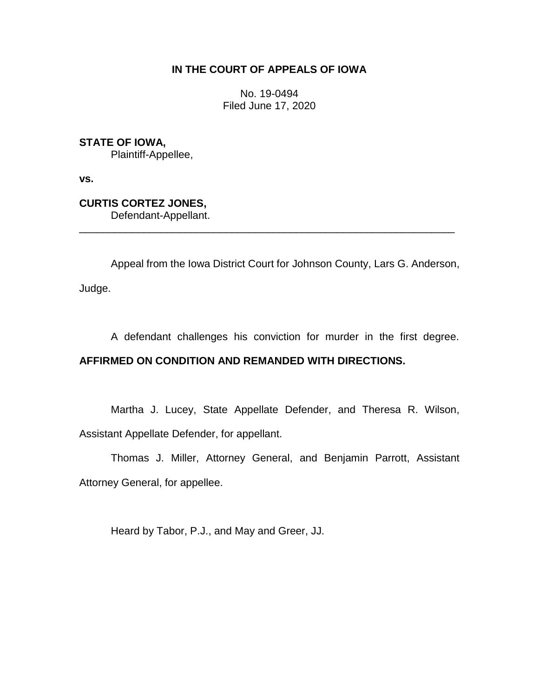# **IN THE COURT OF APPEALS OF IOWA**

No. 19-0494 Filed June 17, 2020

**STATE OF IOWA,** Plaintiff-Appellee,

**vs.**

**CURTIS CORTEZ JONES,** Defendant-Appellant.

Appeal from the Iowa District Court for Johnson County, Lars G. Anderson,

\_\_\_\_\_\_\_\_\_\_\_\_\_\_\_\_\_\_\_\_\_\_\_\_\_\_\_\_\_\_\_\_\_\_\_\_\_\_\_\_\_\_\_\_\_\_\_\_\_\_\_\_\_\_\_\_\_\_\_\_\_\_\_\_

Judge.

A defendant challenges his conviction for murder in the first degree.

# **AFFIRMED ON CONDITION AND REMANDED WITH DIRECTIONS.**

Martha J. Lucey, State Appellate Defender, and Theresa R. Wilson, Assistant Appellate Defender, for appellant.

Thomas J. Miller, Attorney General, and Benjamin Parrott, Assistant Attorney General, for appellee.

Heard by Tabor, P.J., and May and Greer, JJ.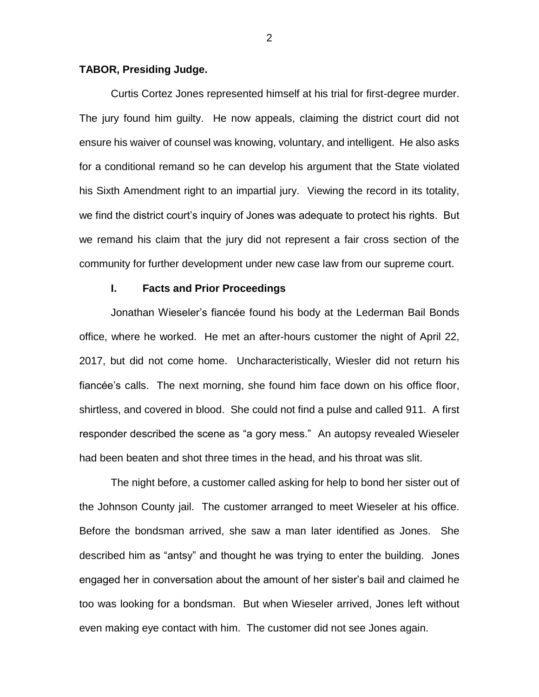#### **TABOR, Presiding Judge.**

Curtis Cortez Jones represented himself at his trial for first-degree murder. The jury found him guilty. He now appeals, claiming the district court did not ensure his waiver of counsel was knowing, voluntary, and intelligent. He also asks for a conditional remand so he can develop his argument that the State violated his Sixth Amendment right to an impartial jury. Viewing the record in its totality, we find the district court's inquiry of Jones was adequate to protect his rights. But we remand his claim that the jury did not represent a fair cross section of the community for further development under new case law from our supreme court.

### **I. Facts and Prior Proceedings**

Jonathan Wieseler's fiancée found his body at the Lederman Bail Bonds office, where he worked. He met an after-hours customer the night of April 22, 2017, but did not come home. Uncharacteristically, Wiesler did not return his fiancée's calls. The next morning, she found him face down on his office floor, shirtless, and covered in blood. She could not find a pulse and called 911. A first responder described the scene as "a gory mess." An autopsy revealed Wieseler had been beaten and shot three times in the head, and his throat was slit.

The night before, a customer called asking for help to bond her sister out of the Johnson County jail. The customer arranged to meet Wieseler at his office. Before the bondsman arrived, she saw a man later identified as Jones. She described him as "antsy" and thought he was trying to enter the building. Jones engaged her in conversation about the amount of her sister's bail and claimed he too was looking for a bondsman. But when Wieseler arrived, Jones left without even making eye contact with him. The customer did not see Jones again.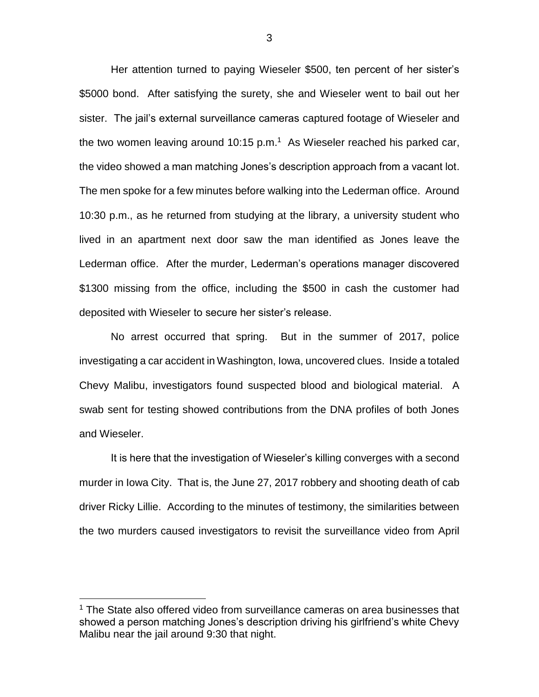Her attention turned to paying Wieseler \$500, ten percent of her sister's \$5000 bond. After satisfying the surety, she and Wieseler went to bail out her sister. The jail's external surveillance cameras captured footage of Wieseler and the two women leaving around 10:15 p.m.<sup>1</sup> As Wieseler reached his parked car, the video showed a man matching Jones's description approach from a vacant lot. The men spoke for a few minutes before walking into the Lederman office. Around 10:30 p.m., as he returned from studying at the library, a university student who lived in an apartment next door saw the man identified as Jones leave the Lederman office. After the murder, Lederman's operations manager discovered \$1300 missing from the office, including the \$500 in cash the customer had deposited with Wieseler to secure her sister's release.

No arrest occurred that spring. But in the summer of 2017, police investigating a car accident in Washington, Iowa, uncovered clues. Inside a totaled Chevy Malibu, investigators found suspected blood and biological material. A swab sent for testing showed contributions from the DNA profiles of both Jones and Wieseler.

It is here that the investigation of Wieseler's killing converges with a second murder in Iowa City. That is, the June 27, 2017 robbery and shooting death of cab driver Ricky Lillie. According to the minutes of testimony, the similarities between the two murders caused investigators to revisit the surveillance video from April

<sup>&</sup>lt;sup>1</sup> The State also offered video from surveillance cameras on area businesses that showed a person matching Jones's description driving his girlfriend's white Chevy Malibu near the jail around 9:30 that night.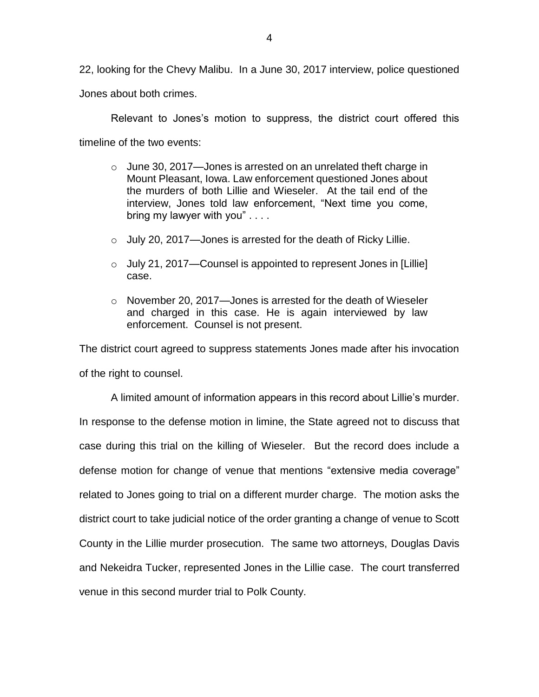22, looking for the Chevy Malibu. In a June 30, 2017 interview, police questioned

Jones about both crimes.

Relevant to Jones's motion to suppress, the district court offered this timeline of the two events:

- $\circ$  June 30, 2017—Jones is arrested on an unrelated theft charge in Mount Pleasant, Iowa. Law enforcement questioned Jones about the murders of both Lillie and Wieseler. At the tail end of the interview, Jones told law enforcement, "Next time you come, bring my lawyer with you" . . . .
- $\circ$  July 20, 2017—Jones is arrested for the death of Ricky Lillie.
- $\circ$  July 21, 2017—Counsel is appointed to represent Jones in [Lillie] case.
- o November 20, 2017—Jones is arrested for the death of Wieseler and charged in this case. He is again interviewed by law enforcement. Counsel is not present.

The district court agreed to suppress statements Jones made after his invocation of the right to counsel.

A limited amount of information appears in this record about Lillie's murder. In response to the defense motion in limine, the State agreed not to discuss that case during this trial on the killing of Wieseler. But the record does include a defense motion for change of venue that mentions "extensive media coverage" related to Jones going to trial on a different murder charge. The motion asks the district court to take judicial notice of the order granting a change of venue to Scott County in the Lillie murder prosecution. The same two attorneys, Douglas Davis and Nekeidra Tucker, represented Jones in the Lillie case. The court transferred venue in this second murder trial to Polk County.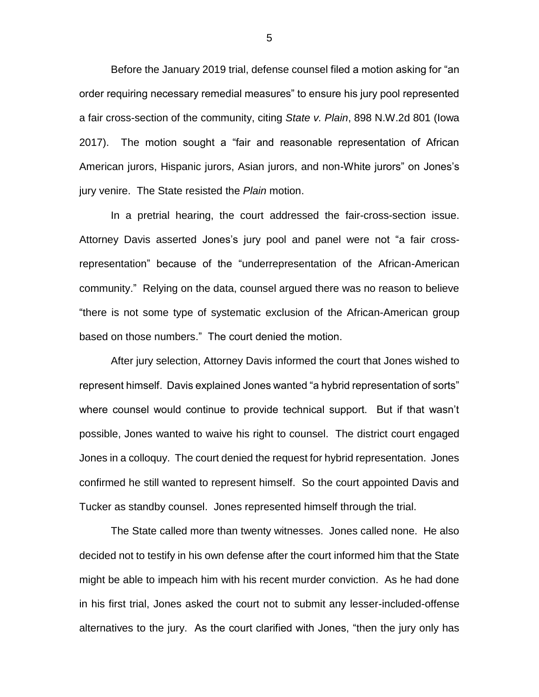Before the January 2019 trial, defense counsel filed a motion asking for "an order requiring necessary remedial measures" to ensure his jury pool represented a fair cross-section of the community, citing *State v. Plain*, 898 N.W.2d 801 (Iowa 2017). The motion sought a "fair and reasonable representation of African American jurors, Hispanic jurors, Asian jurors, and non-White jurors" on Jones's jury venire. The State resisted the *Plain* motion.

In a pretrial hearing, the court addressed the fair-cross-section issue. Attorney Davis asserted Jones's jury pool and panel were not "a fair crossrepresentation" because of the "underrepresentation of the African-American community." Relying on the data, counsel argued there was no reason to believe "there is not some type of systematic exclusion of the African-American group based on those numbers." The court denied the motion.

After jury selection, Attorney Davis informed the court that Jones wished to represent himself. Davis explained Jones wanted "a hybrid representation of sorts" where counsel would continue to provide technical support. But if that wasn't possible, Jones wanted to waive his right to counsel. The district court engaged Jones in a colloquy. The court denied the request for hybrid representation. Jones confirmed he still wanted to represent himself. So the court appointed Davis and Tucker as standby counsel. Jones represented himself through the trial.

The State called more than twenty witnesses. Jones called none. He also decided not to testify in his own defense after the court informed him that the State might be able to impeach him with his recent murder conviction. As he had done in his first trial, Jones asked the court not to submit any lesser-included-offense alternatives to the jury. As the court clarified with Jones, "then the jury only has

5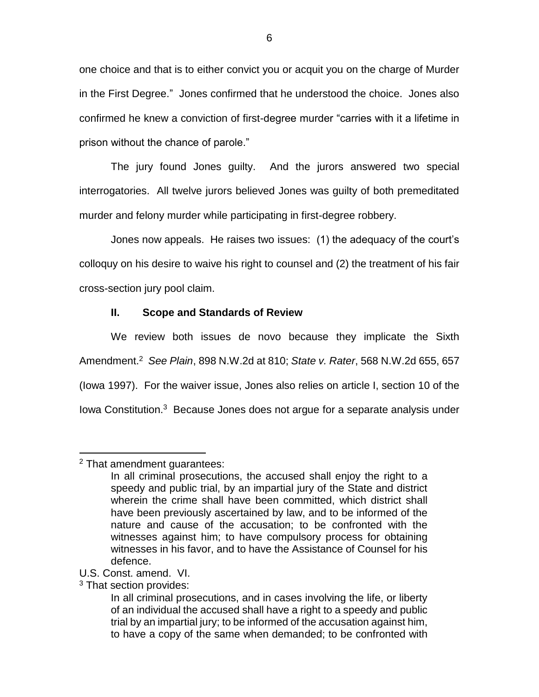one choice and that is to either convict you or acquit you on the charge of Murder in the First Degree." Jones confirmed that he understood the choice. Jones also confirmed he knew a conviction of first-degree murder "carries with it a lifetime in prison without the chance of parole."

The jury found Jones guilty. And the jurors answered two special interrogatories. All twelve jurors believed Jones was guilty of both premeditated murder and felony murder while participating in first-degree robbery.

Jones now appeals. He raises two issues: (1) the adequacy of the court's colloquy on his desire to waive his right to counsel and (2) the treatment of his fair cross-section jury pool claim.

## **II. Scope and Standards of Review**

We review both issues de novo because they implicate the Sixth Amendment. <sup>2</sup> *See Plain*, 898 N.W.2d at 810; *State v. Rater*, 568 N.W.2d 655, 657 (Iowa 1997). For the waiver issue, Jones also relies on article I, section 10 of the lowa Constitution.<sup>3</sup> Because Jones does not argue for a separate analysis under

<sup>2</sup> That amendment guarantees:

In all criminal prosecutions, the accused shall enjoy the right to a speedy and public trial, by an impartial jury of the State and district wherein the crime shall have been committed, which district shall have been previously ascertained by law, and to be informed of the nature and cause of the accusation; to be confronted with the witnesses against him; to have compulsory process for obtaining witnesses in his favor, and to have the Assistance of Counsel for his defence.

U.S. Const. amend. VI.

<sup>3</sup> That section provides:

In all criminal prosecutions, and in cases involving the life, or liberty of an individual the accused shall have a right to a speedy and public trial by an impartial jury; to be informed of the accusation against him, to have a copy of the same when demanded; to be confronted with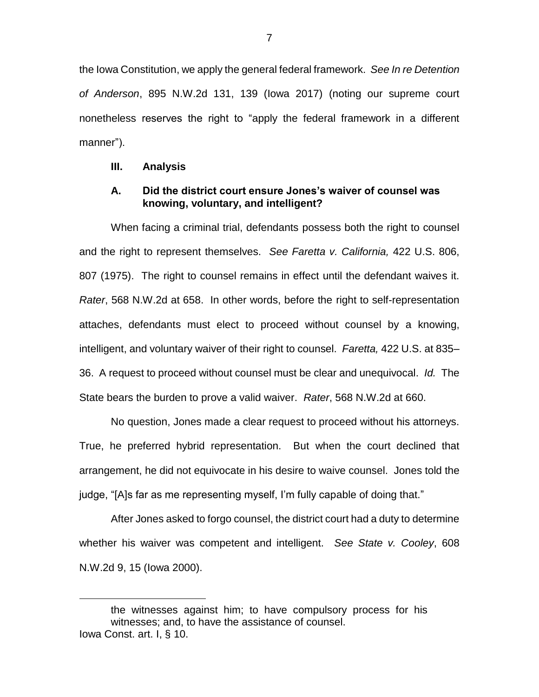the Iowa Constitution, we apply the general federal framework. *See In re Detention of Anderson*, 895 N.W.2d 131, 139 (Iowa 2017) (noting our supreme court nonetheless reserves the right to "apply the federal framework in a different manner").

#### **III. Analysis**

 $\overline{a}$ 

### **A. Did the district court ensure Jones's waiver of counsel was knowing, voluntary, and intelligent?**

When facing a criminal trial, defendants possess both the right to counsel and the right to represent themselves. *See Faretta v. California,* 422 U.S. 806, 807 (1975). The right to counsel remains in effect until the defendant waives it. *Rater*, 568 N.W.2d at 658. In other words, before the right to self-representation attaches, defendants must elect to proceed without counsel by a knowing, intelligent, and voluntary waiver of their right to counsel. *Faretta,* 422 U.S. at 835– 36. A request to proceed without counsel must be clear and unequivocal. *Id.* The State bears the burden to prove a valid waiver. *Rater*, 568 N.W.2d at 660.

No question, Jones made a clear request to proceed without his attorneys. True, he preferred hybrid representation. But when the court declined that arrangement, he did not equivocate in his desire to waive counsel. Jones told the judge, "[A]s far as me representing myself, I'm fully capable of doing that."

After Jones asked to forgo counsel, the district court had a duty to determine whether his waiver was competent and intelligent. *See State v. Cooley*, 608 N.W.2d 9, 15 (Iowa 2000).

the witnesses against him; to have compulsory process for his witnesses; and, to have the assistance of counsel. Iowa Const. art. I, § 10.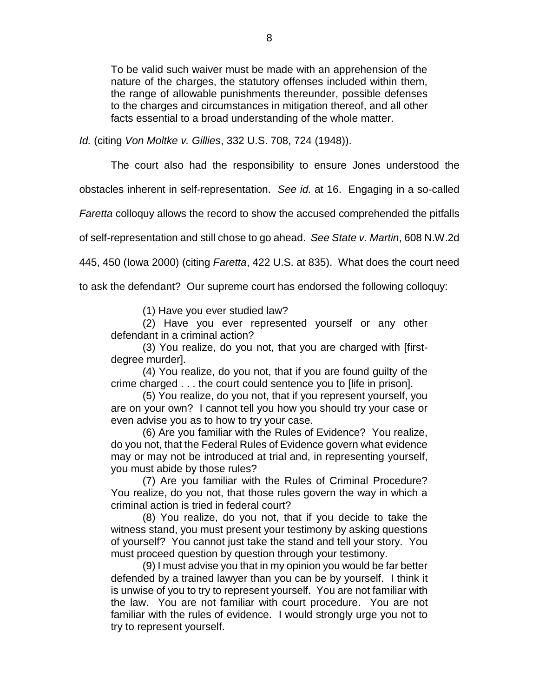To be valid such waiver must be made with an apprehension of the nature of the charges, the statutory offenses included within them, the range of allowable punishments thereunder, possible defenses to the charges and circumstances in mitigation thereof, and all other facts essential to a broad understanding of the whole matter.

*Id.* (citing *Von Moltke v. Gillies*, 332 U.S. 708, 724 (1948)).

The court also had the responsibility to ensure Jones understood the

obstacles inherent in self-representation. *See id.* at 16. Engaging in a so-called

*Faretta* colloquy allows the record to show the accused comprehended the pitfalls

of self-representation and still chose to go ahead. *See State v. Martin*, 608 N.W.2d

445, 450 (Iowa 2000) (citing *Faretta*, 422 U.S. at 835). What does the court need

to ask the defendant? Our supreme court has endorsed the following colloquy:

(1) Have you ever studied law?

(2) Have you ever represented yourself or any other defendant in a criminal action?

(3) You realize, do you not, that you are charged with [firstdegree murder].

(4) You realize, do you not, that if you are found guilty of the crime charged . . . the court could sentence you to [life in prison].

(5) You realize, do you not, that if you represent yourself, you are on your own? I cannot tell you how you should try your case or even advise you as to how to try your case.

(6) Are you familiar with the Rules of Evidence? You realize, do you not, that the Federal Rules of Evidence govern what evidence may or may not be introduced at trial and, in representing yourself, you must abide by those rules?

(7) Are you familiar with the Rules of Criminal Procedure? You realize, do you not, that those rules govern the way in which a criminal action is tried in federal court?

(8) You realize, do you not, that if you decide to take the witness stand, you must present your testimony by asking questions of yourself? You cannot just take the stand and tell your story. You must proceed question by question through your testimony.

(9) I must advise you that in my opinion you would be far better defended by a trained lawyer than you can be by yourself. I think it is unwise of you to try to represent yourself. You are not familiar with the law. You are not familiar with court procedure. You are not familiar with the rules of evidence. I would strongly urge you not to try to represent yourself.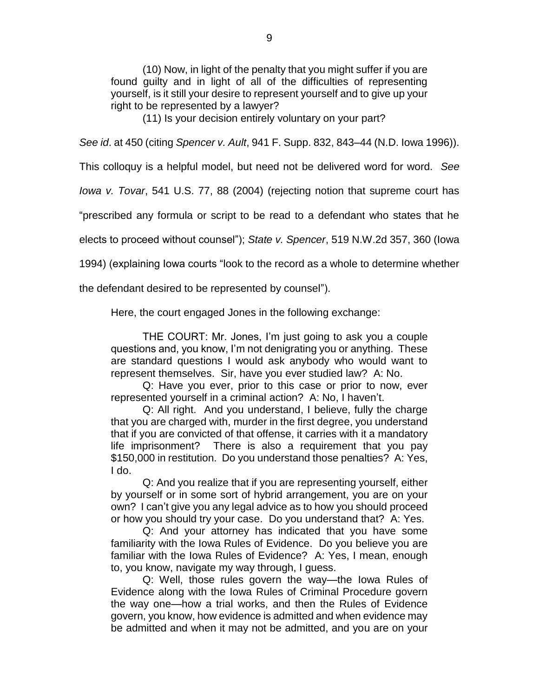(10) Now, in light of the penalty that you might suffer if you are found guilty and in light of all of the difficulties of representing yourself, is it still your desire to represent yourself and to give up your right to be represented by a lawyer?

(11) Is your decision entirely voluntary on your part?

*See id*. at 450 (citing *Spencer v. Ault*, 941 F. Supp. 832, 843–44 (N.D. Iowa 1996)).

This colloquy is a helpful model, but need not be delivered word for word. *See*

*Iowa v. Tovar*, 541 U.S. 77, 88 (2004) (rejecting notion that supreme court has

"prescribed any formula or script to be read to a defendant who states that he

elects to proceed without counsel"); *State v. Spencer*, 519 N.W.2d 357, 360 (Iowa

1994) (explaining Iowa courts "look to the record as a whole to determine whether

the defendant desired to be represented by counsel").

Here, the court engaged Jones in the following exchange:

THE COURT: Mr. Jones, I'm just going to ask you a couple questions and, you know, I'm not denigrating you or anything. These are standard questions I would ask anybody who would want to represent themselves. Sir, have you ever studied law? A: No.

Q: Have you ever, prior to this case or prior to now, ever represented yourself in a criminal action? A: No, I haven't.

Q: All right. And you understand, I believe, fully the charge that you are charged with, murder in the first degree, you understand that if you are convicted of that offense, it carries with it a mandatory life imprisonment? There is also a requirement that you pay \$150,000 in restitution. Do you understand those penalties? A: Yes, I do.

Q: And you realize that if you are representing yourself, either by yourself or in some sort of hybrid arrangement, you are on your own? I can't give you any legal advice as to how you should proceed or how you should try your case. Do you understand that? A: Yes.

Q: And your attorney has indicated that you have some familiarity with the Iowa Rules of Evidence. Do you believe you are familiar with the Iowa Rules of Evidence? A: Yes, I mean, enough to, you know, navigate my way through, I guess.

Q: Well, those rules govern the way—the Iowa Rules of Evidence along with the Iowa Rules of Criminal Procedure govern the way one—how a trial works, and then the Rules of Evidence govern, you know, how evidence is admitted and when evidence may be admitted and when it may not be admitted, and you are on your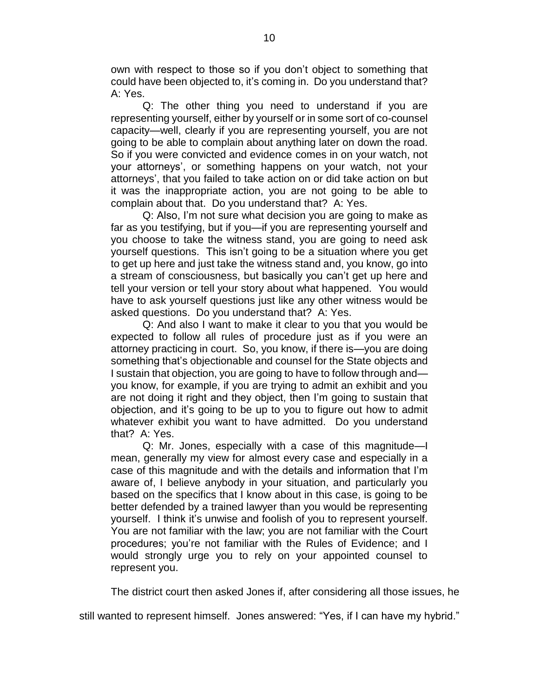own with respect to those so if you don't object to something that could have been objected to, it's coming in. Do you understand that? A: Yes.

Q: The other thing you need to understand if you are representing yourself, either by yourself or in some sort of co-counsel capacity—well, clearly if you are representing yourself, you are not going to be able to complain about anything later on down the road. So if you were convicted and evidence comes in on your watch, not your attorneys', or something happens on your watch, not your attorneys', that you failed to take action on or did take action on but it was the inappropriate action, you are not going to be able to complain about that. Do you understand that? A: Yes.

Q: Also, I'm not sure what decision you are going to make as far as you testifying, but if you—if you are representing yourself and you choose to take the witness stand, you are going to need ask yourself questions. This isn't going to be a situation where you get to get up here and just take the witness stand and, you know, go into a stream of consciousness, but basically you can't get up here and tell your version or tell your story about what happened. You would have to ask yourself questions just like any other witness would be asked questions. Do you understand that? A: Yes.

Q: And also I want to make it clear to you that you would be expected to follow all rules of procedure just as if you were an attorney practicing in court. So, you know, if there is—you are doing something that's objectionable and counsel for the State objects and I sustain that objection, you are going to have to follow through and you know, for example, if you are trying to admit an exhibit and you are not doing it right and they object, then I'm going to sustain that objection, and it's going to be up to you to figure out how to admit whatever exhibit you want to have admitted. Do you understand that? A: Yes.

Q: Mr. Jones, especially with a case of this magnitude—I mean, generally my view for almost every case and especially in a case of this magnitude and with the details and information that I'm aware of, I believe anybody in your situation, and particularly you based on the specifics that I know about in this case, is going to be better defended by a trained lawyer than you would be representing yourself. I think it's unwise and foolish of you to represent yourself. You are not familiar with the law; you are not familiar with the Court procedures; you're not familiar with the Rules of Evidence; and I would strongly urge you to rely on your appointed counsel to represent you.

The district court then asked Jones if, after considering all those issues, he

still wanted to represent himself. Jones answered: "Yes, if I can have my hybrid."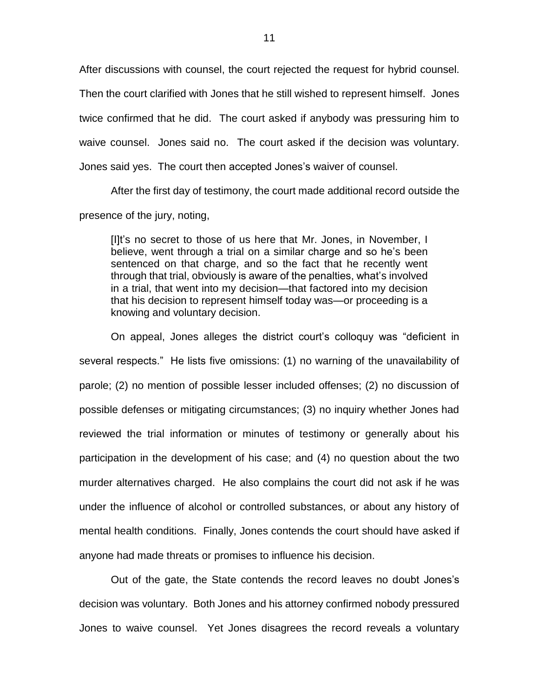After discussions with counsel, the court rejected the request for hybrid counsel. Then the court clarified with Jones that he still wished to represent himself. Jones twice confirmed that he did. The court asked if anybody was pressuring him to waive counsel. Jones said no. The court asked if the decision was voluntary. Jones said yes. The court then accepted Jones's waiver of counsel.

After the first day of testimony, the court made additional record outside the presence of the jury, noting,

[I]t's no secret to those of us here that Mr. Jones, in November, I believe, went through a trial on a similar charge and so he's been sentenced on that charge, and so the fact that he recently went through that trial, obviously is aware of the penalties, what's involved in a trial, that went into my decision—that factored into my decision that his decision to represent himself today was—or proceeding is a knowing and voluntary decision.

On appeal, Jones alleges the district court's colloquy was "deficient in several respects." He lists five omissions: (1) no warning of the unavailability of parole; (2) no mention of possible lesser included offenses; (2) no discussion of possible defenses or mitigating circumstances; (3) no inquiry whether Jones had reviewed the trial information or minutes of testimony or generally about his participation in the development of his case; and (4) no question about the two murder alternatives charged. He also complains the court did not ask if he was under the influence of alcohol or controlled substances, or about any history of mental health conditions. Finally, Jones contends the court should have asked if anyone had made threats or promises to influence his decision.

Out of the gate, the State contends the record leaves no doubt Jones's decision was voluntary. Both Jones and his attorney confirmed nobody pressured Jones to waive counsel. Yet Jones disagrees the record reveals a voluntary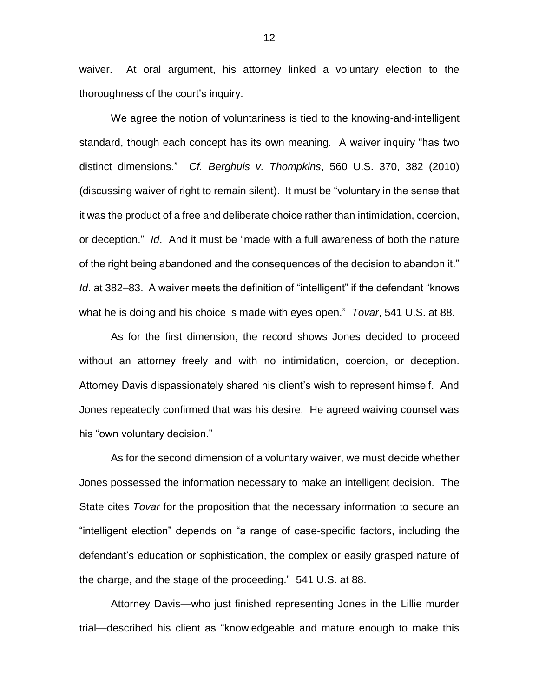waiver. At oral argument, his attorney linked a voluntary election to the thoroughness of the court's inquiry.

We agree the notion of voluntariness is tied to the knowing-and-intelligent standard, though each concept has its own meaning. A waiver inquiry "has two distinct dimensions." *Cf. Berghuis v. Thompkins*, 560 U.S. 370, 382 (2010) (discussing waiver of right to remain silent). It must be "voluntary in the sense that it was the product of a free and deliberate choice rather than intimidation, coercion, or deception." *Id*. And it must be "made with a full awareness of both the nature of the right being abandoned and the consequences of the decision to abandon it." *Id*. at 382–83. A waiver meets the definition of "intelligent" if the defendant "knows what he is doing and his choice is made with eyes open." *Tovar*, 541 U.S. at 88.

As for the first dimension, the record shows Jones decided to proceed without an attorney freely and with no intimidation, coercion, or deception. Attorney Davis dispassionately shared his client's wish to represent himself. And Jones repeatedly confirmed that was his desire. He agreed waiving counsel was his "own voluntary decision."

As for the second dimension of a voluntary waiver, we must decide whether Jones possessed the information necessary to make an intelligent decision. The State cites *Tovar* for the proposition that the necessary information to secure an "intelligent election" depends on "a range of case-specific factors, including the defendant's education or sophistication, the complex or easily grasped nature of the charge, and the stage of the proceeding." 541 U.S. at 88.

Attorney Davis—who just finished representing Jones in the Lillie murder trial—described his client as "knowledgeable and mature enough to make this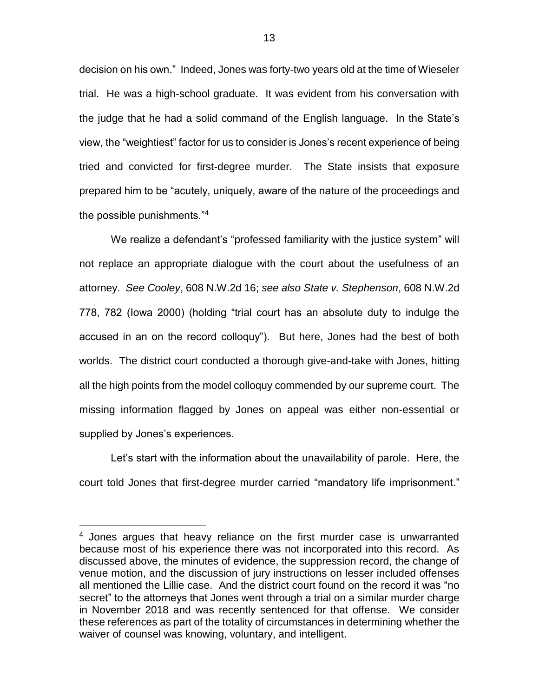decision on his own." Indeed, Jones was forty-two years old at the time of Wieseler trial. He was a high-school graduate. It was evident from his conversation with the judge that he had a solid command of the English language. In the State's view, the "weightiest" factor for us to consider is Jones's recent experience of being tried and convicted for first-degree murder. The State insists that exposure prepared him to be "acutely, uniquely, aware of the nature of the proceedings and the possible punishments."<sup>4</sup>

We realize a defendant's "professed familiarity with the justice system" will not replace an appropriate dialogue with the court about the usefulness of an attorney. *See Cooley*, 608 N.W.2d 16; *see also State v. Stephenson*, 608 N.W.2d 778, 782 (Iowa 2000) (holding "trial court has an absolute duty to indulge the accused in an on the record colloquy"). But here, Jones had the best of both worlds. The district court conducted a thorough give-and-take with Jones, hitting all the high points from the model colloquy commended by our supreme court. The missing information flagged by Jones on appeal was either non-essential or supplied by Jones's experiences.

Let's start with the information about the unavailability of parole. Here, the court told Jones that first-degree murder carried "mandatory life imprisonment."

<sup>&</sup>lt;sup>4</sup> Jones argues that heavy reliance on the first murder case is unwarranted because most of his experience there was not incorporated into this record. As discussed above, the minutes of evidence, the suppression record, the change of venue motion, and the discussion of jury instructions on lesser included offenses all mentioned the Lillie case. And the district court found on the record it was "no secret" to the attorneys that Jones went through a trial on a similar murder charge in November 2018 and was recently sentenced for that offense. We consider these references as part of the totality of circumstances in determining whether the waiver of counsel was knowing, voluntary, and intelligent.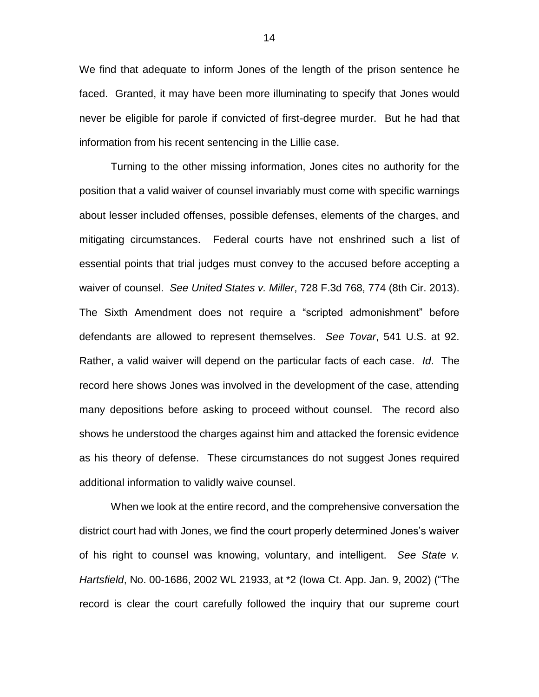We find that adequate to inform Jones of the length of the prison sentence he faced. Granted, it may have been more illuminating to specify that Jones would never be eligible for parole if convicted of first-degree murder. But he had that information from his recent sentencing in the Lillie case.

Turning to the other missing information, Jones cites no authority for the position that a valid waiver of counsel invariably must come with specific warnings about lesser included offenses, possible defenses, elements of the charges, and mitigating circumstances. Federal courts have not enshrined such a list of essential points that trial judges must convey to the accused before accepting a waiver of counsel. *See United States v. Miller*, 728 F.3d 768, 774 (8th Cir. 2013). The Sixth Amendment does not require a "scripted admonishment" before defendants are allowed to represent themselves. *See Tovar*, 541 U.S. at 92. Rather, a valid waiver will depend on the particular facts of each case. *Id*. The record here shows Jones was involved in the development of the case, attending many depositions before asking to proceed without counsel. The record also shows he understood the charges against him and attacked the forensic evidence as his theory of defense. These circumstances do not suggest Jones required additional information to validly waive counsel.

When we look at the entire record, and the comprehensive conversation the district court had with Jones, we find the court properly determined Jones's waiver of his right to counsel was knowing, voluntary, and intelligent. *See State v. Hartsfield*, No. 00-1686, 2002 WL 21933, at \*2 (Iowa Ct. App. Jan. 9, 2002) ("The record is clear the court carefully followed the inquiry that our supreme court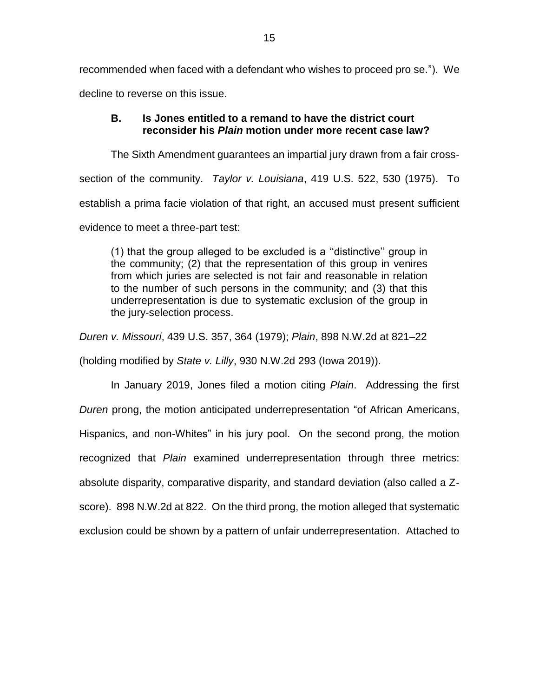recommended when faced with a defendant who wishes to proceed pro se."). We decline to reverse on this issue.

## **B. Is Jones entitled to a remand to have the district court reconsider his** *Plain* **motion under more recent case law?**

The Sixth Amendment guarantees an impartial jury drawn from a fair crosssection of the community. *Taylor v. Louisiana*, 419 U.S. 522, 530 (1975). To establish a prima facie violation of that right, an accused must present sufficient evidence to meet a three-part test:

(1) that the group alleged to be excluded is a ''distinctive'' group in the community; (2) that the representation of this group in venires from which juries are selected is not fair and reasonable in relation to the number of such persons in the community; and (3) that this underrepresentation is due to systematic exclusion of the group in the jury-selection process.

*Duren v. Missouri*, 439 U.S. 357, 364 (1979); *Plain*, 898 N.W.2d at 821–22

(holding modified by *State v. Lilly*, 930 N.W.2d 293 (Iowa 2019)).

In January 2019, Jones filed a motion citing *Plain*. Addressing the first *Duren* prong, the motion anticipated underrepresentation "of African Americans, Hispanics, and non-Whites" in his jury pool. On the second prong, the motion recognized that *Plain* examined underrepresentation through three metrics: absolute disparity, comparative disparity, and standard deviation (also called a Zscore). 898 N.W.2d at 822. On the third prong, the motion alleged that systematic exclusion could be shown by a pattern of unfair underrepresentation. Attached to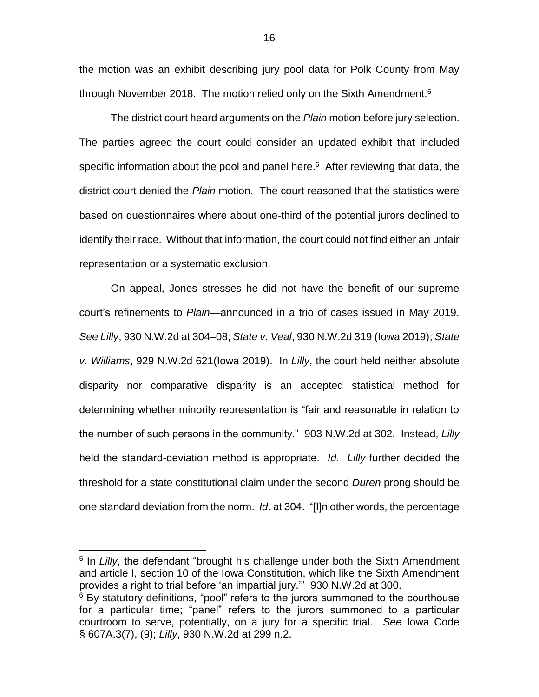the motion was an exhibit describing jury pool data for Polk County from May through November 2018. The motion relied only on the Sixth Amendment.<sup>5</sup>

The district court heard arguments on the *Plain* motion before jury selection. The parties agreed the court could consider an updated exhibit that included specific information about the pool and panel here.<sup>6</sup> After reviewing that data, the district court denied the *Plain* motion. The court reasoned that the statistics were based on questionnaires where about one-third of the potential jurors declined to identify their race. Without that information, the court could not find either an unfair representation or a systematic exclusion.

On appeal, Jones stresses he did not have the benefit of our supreme court's refinements to *Plain*—announced in a trio of cases issued in May 2019. *See Lilly*, 930 N.W.2d at 304–08; *State v. Veal*, 930 N.W.2d 319 (Iowa 2019); *State v. Williams*, 929 N.W.2d 621(Iowa 2019). In *Lilly*, the court held neither absolute disparity nor comparative disparity is an accepted statistical method for determining whether minority representation is "fair and reasonable in relation to the number of such persons in the community." 903 N.W.2d at 302. Instead, *Lilly* held the standard-deviation method is appropriate. *Id. Lilly* further decided the threshold for a state constitutional claim under the second *Duren* prong should be one standard deviation from the norm. *Id*. at 304. "[I]n other words, the percentage

<sup>5</sup> In Lilly, the defendant "brought his challenge under both the Sixth Amendment and article I, section 10 of the Iowa Constitution, which like the Sixth Amendment provides a right to trial before 'an impartial jury.'" 930 N.W.2d at 300.

<sup>&</sup>lt;sup>6</sup> By statutory definitions, "pool" refers to the jurors summoned to the courthouse for a particular time; "panel" refers to the jurors summoned to a particular courtroom to serve, potentially, on a jury for a specific trial. *See* Iowa Code § 607A.3(7), (9); *Lilly*, 930 N.W.2d at 299 n.2.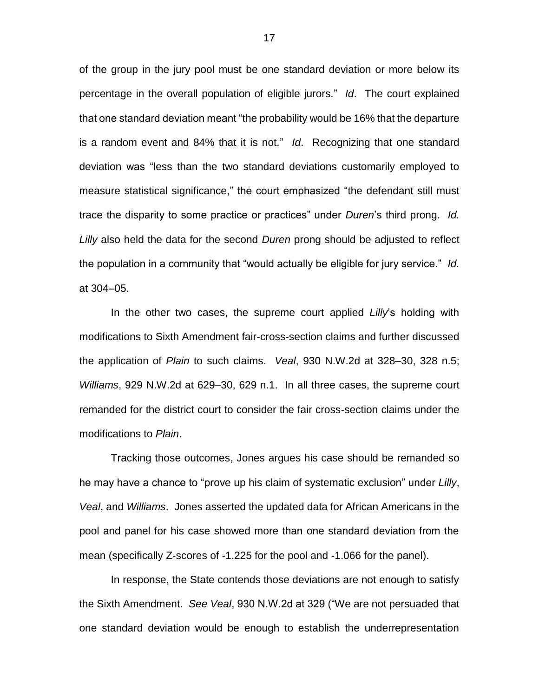of the group in the jury pool must be one standard deviation or more below its percentage in the overall population of eligible jurors." *Id*. The court explained that one standard deviation meant "the probability would be 16% that the departure is a random event and 84% that it is not." *Id*. Recognizing that one standard deviation was "less than the two standard deviations customarily employed to measure statistical significance," the court emphasized "the defendant still must trace the disparity to some practice or practices" under *Duren*'s third prong. *Id. Lilly* also held the data for the second *Duren* prong should be adjusted to reflect the population in a community that "would actually be eligible for jury service." *Id.* at 304–05.

In the other two cases, the supreme court applied *Lilly*'s holding with modifications to Sixth Amendment fair-cross-section claims and further discussed the application of *Plain* to such claims. *Veal*, 930 N.W.2d at 328–30, 328 n.5; *Williams*, 929 N.W.2d at 629–30, 629 n.1. In all three cases, the supreme court remanded for the district court to consider the fair cross-section claims under the modifications to *Plain*.

Tracking those outcomes, Jones argues his case should be remanded so he may have a chance to "prove up his claim of systematic exclusion" under *Lilly*, *Veal*, and *Williams*. Jones asserted the updated data for African Americans in the pool and panel for his case showed more than one standard deviation from the mean (specifically Z-scores of -1.225 for the pool and -1.066 for the panel).

In response, the State contends those deviations are not enough to satisfy the Sixth Amendment. *See Veal*, 930 N.W.2d at 329 ("We are not persuaded that one standard deviation would be enough to establish the underrepresentation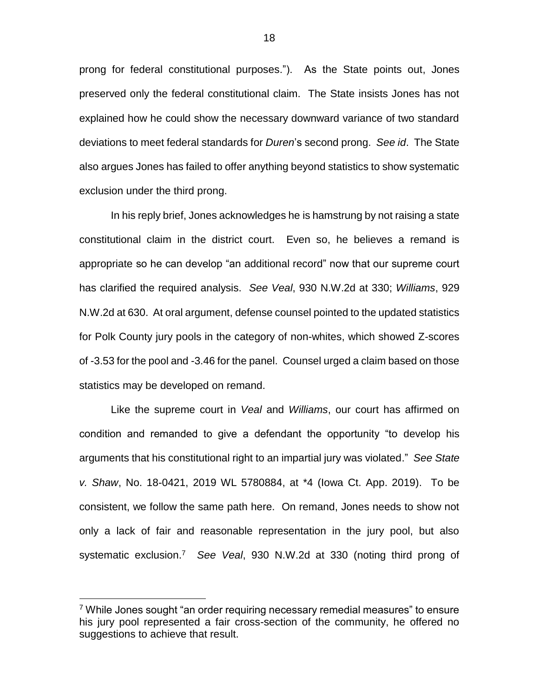prong for federal constitutional purposes."). As the State points out, Jones preserved only the federal constitutional claim. The State insists Jones has not explained how he could show the necessary downward variance of two standard deviations to meet federal standards for *Duren*'s second prong. *See id*. The State also argues Jones has failed to offer anything beyond statistics to show systematic exclusion under the third prong.

In his reply brief, Jones acknowledges he is hamstrung by not raising a state constitutional claim in the district court. Even so, he believes a remand is appropriate so he can develop "an additional record" now that our supreme court has clarified the required analysis. *See Veal*, 930 N.W.2d at 330; *Williams*, 929 N.W.2d at 630. At oral argument, defense counsel pointed to the updated statistics for Polk County jury pools in the category of non-whites, which showed Z-scores of -3.53 for the pool and -3.46 for the panel. Counsel urged a claim based on those statistics may be developed on remand.

Like the supreme court in *Veal* and *Williams*, our court has affirmed on condition and remanded to give a defendant the opportunity "to develop his arguments that his constitutional right to an impartial jury was violated." *See State v. Shaw*, No. 18-0421, 2019 WL 5780884, at \*4 (Iowa Ct. App. 2019). To be consistent, we follow the same path here. On remand, Jones needs to show not only a lack of fair and reasonable representation in the jury pool, but also systematic exclusion.<sup>7</sup> *See Veal*, 930 N.W.2d at 330 (noting third prong of

<sup>&</sup>lt;sup>7</sup> While Jones sought "an order requiring necessary remedial measures" to ensure his jury pool represented a fair cross-section of the community, he offered no suggestions to achieve that result.